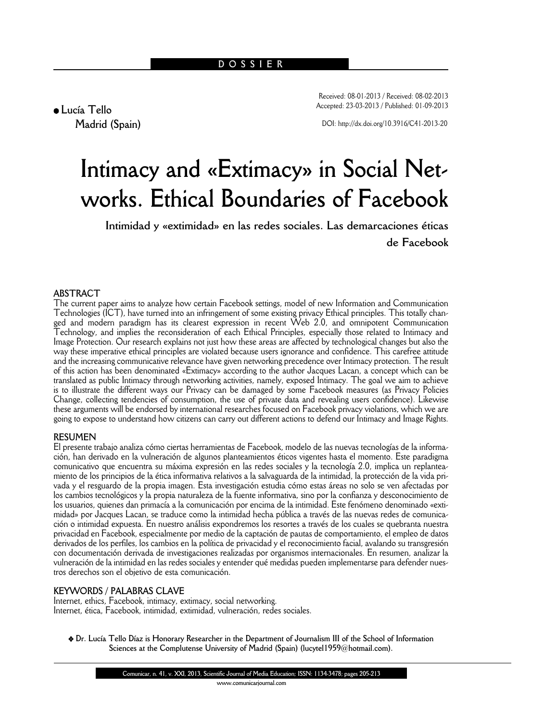#### **DOSSIER**

Received: 08-01-2013 / Received: 08-02-2013 Accepted: 23-03-2013 / Published: 01-09-2013

<sup>l</sup>**Lucía Tello Madrid (Spain)**

DOI: http://dx.doi.org/10.3916/C41-2013-20

# Intimacy and «Extimacy» in Social Net**works. Ethical Boundaries of Facebook**

**Intimidad y «extimidad» en las redes sociales. Las demarcaciones éticas de Facebook**

#### **ABSTRACT**

The current paper aims to analyze how certain Facebook settings, model of new Information and Communication Technologies (ICT), have turned into an infringement of some existing privacy Ethical principles. This totally changed and modern paradigm has its clearest expression in recent Web 2.0, and omnipotent Communication Technology, and implies the reconsideration of each Ethical Principles, especially those related to Intimacy and Image Protection. Our research explains not just how these areas are affected by technological changes but also the way these imperative ethical principles are violated because users ignorance and confidence. This carefree attitude and the increasing communicative relevance have given networking precedence over Intimacy protection. The result of this action has been denominated «Extimacy» according to the author Jacques Lacan, a concept which can be translated as public Intimacy through networking activities, namely, exposed Intimacy. The goal we aim to achieve is to illustrate the different ways our Privacy can be damaged by some Facebook measures (as Privacy Policies Change, collecting tendencies of consumption, the use of private data and revealing users confidence). Likewise these arguments will be endorsed by international researches focused on Facebook privacy violations, which we are going to expose to understand how citizens can carry out different actions to defend our Intimacy and Image Rights.

#### **RESUMEN**

El presente trabajo analiza cómo ciertas herramientas de Facebook, modelo de las nuevas tecnologías de la información, han derivado en la vulneración de algunos planteamientos éticos vigentes hasta el momento. Este paradigma comunicativo que encuentra su máxima expresión en las redes sociales y la tecnología 2.0, implica un replanteamiento de los principios de la ética informativa relativos a la salvaguarda de la intimidad, la protección de la vida privada y el resguardo de la propia imagen. Esta investigación estudia cómo estas áreas no solo se ven afectadas por los cambios tecnológicos y la propia naturaleza de la fuente informativa, sino por la confianza y desconocimiento de los usuarios, quienes dan primacía a la comunicación por encima de la intimidad. Este fenómeno denominado «extimidad» por Jacques Lacan, se traduce como la intimidad hecha pública a través de las nuevas redes de comunicación o intimidad expuesta. En nuestro análisis expondremos los resortes a través de los cuales se quebranta nuestra privacidad en Facebook, especialmente por medio de la captación de pautas de comportamiento, el empleo de datos derivados de los perfiles, los cambios en la política de privacidad y el reconocimiento facial, avalando su transgresión con documentación derivada de investigaciones realizadas por organismos internacionales. En resumen, analizar la vulneración de la intimidad en las redes sociales y entender qué medidas pueden implementarse para defender nuestros derechos son el objetivo de esta comunicación.

#### **KEYWORDS / PALABRAS CLAVE**

Internet, ethics, Facebook, intimacy, extimacy, social networking. Internet, ética, Facebook, intimidad, extimidad, vulneración, redes sociales.

v **Dr. Lucía Tello Díaz is Honorary Researcher in the Department of Journalism III of the School of Information Sciences at the Complutense University of Madrid (Spain) (lucytel1959@hotmail.com).**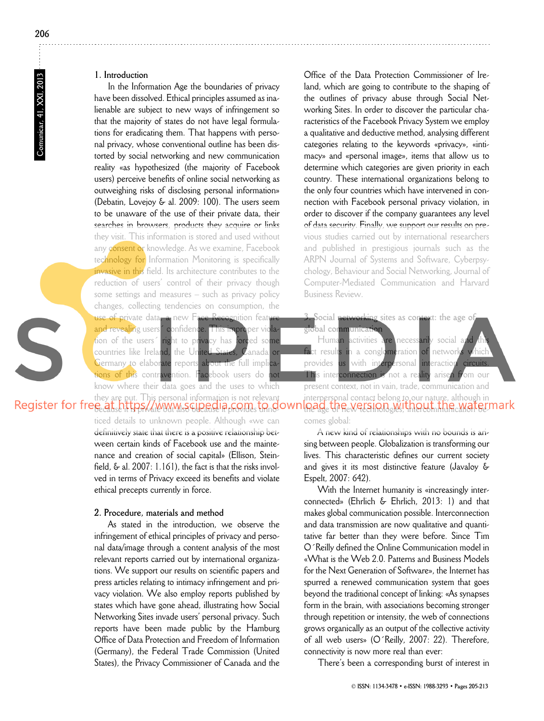#### **1. Introduction**

In the Information Age the boundaries of privacy have been dissolved. Ethical principles assumed as inalienable are subject to new ways of infringement so that the majority of states do not have legal formulations for eradicating them. That happens with personal privacy, whose conventional outline has been distorted by social networking and new communication reality «as hypothesized (the majority of Facebook users) perceive benefits of online social networking as outweighing risks of disclosing personal information» (Debatin, Lovejoy & al. 2009: 100). The users seem to be unaware of the use of their private data, their searches in browsers, products they acquire or links they visit. This information is stored and used without any consent or knowledge. As we examine, Facebook technology for Information Monitoring is specifically invasive in this field. Its architecture contributes to the reduction of users' control of their privacy though some settings and measures – such as privacy policy changes, collecting tendencies on consumption, the use of private data, a new Face Recognition feature and revealing users<sup>'</sup> confidence. This improper violation of the users' right to privacy has forced some countries like Ireland, the United States, Canada or Germany to elaborate reports about the full implications of this contravention. Facebook users do not know where their data goes and the uses to which

Office of the Data Protection Commissioner of Ireland, which are going to contribute to the shaping of the outlines of privacy abuse through Social Networking Sites. In order to discover the particular characteristics of the Facebook Privacy System we employ a qualitative and deductive method, analysing different categories relating to the keywords «privacy», «intimacy» and «personal image», items that allow us to determine which categories are given priority in each country. These international organizations belong to the only four countries which have intervened in connection with Facebook personal privacy violation, in order to discover if the company guarantees any level of data security. Finally, we support our results on previous studies carried out by international researchers and published in prestigious journals such as the ARPN Journal of Systems and Software, Cyberpsychology, Behaviour and Social Networking, Journal of Computer-Mediated Communication and Harvard Business Review.

**3. Social networking sites as context: the age of global communication** Human activities are necessarily social a fact results in a conglomeration of network provides us with interpersonal interaction circuits This interconnection is not a reality arisen from our present context, not in vain, trade, communication and

Register for free at https://www.scipedia.com.to.down ticed details to unknown people. Although «we can definitively state that there is a positive relationship between certain kinds of Facebook use and the maintenance and creation of social capital» (Ellison, Steinfield,  $\xi$  al. 2007: 1.161), the fact is that the risks involved in terms of Privacy exceed its benefits and violate ethical precepts currently in force.

they are put. This personal information is not relevant

#### **2. Procedure, materials and method**

As stated in the introduction, we observe the infringement of ethical principles of privacy and personal data/image through a content analysis of the most relevant reports carried out by international organizations. We support our results on scientific papers and press articles relating to intimacy infringement and privacy violation. We also employ reports published by states which have gone ahead, illustrating how Social Networking Sites invade users' personal privacy. Such reports have been made public by the Hamburg Office of Data Protection and Freedom of Information (Germany), the Federal Trade Commission (United States), the Privacy Commissioner of Canada and the comes global:

A new kind of relationships with no bounds is arising between people. Globalization is transforming our lives. This characteristic defines our current society and gives it its most distinctive feature (Javaloy & Espelt, 2007: 642).

interpersonal contact belong to our nature, although in load the version without the watermark

With the Internet humanity is «increasingly interconnected» (Ehrlich & Ehrlich, 2013: 1) and that makes global communication possible. Interconnection and data transmission are now qualitative and quantitative far better than they were before. Since Tim O´Reilly defined the Online Communication model in «What is the Web 2.0. Patterns and Business Models for the Next Generation of Software», the Internet has spurred a renewed communication system that goes beyond the traditional concept of linking: «As synapses form in the brain, with associations becoming stronger through repetition or intensity, the web of connections grows organically as an output of the collective activity of all web users» (O´Reilly, 2007: 22). Therefore, connectivity is now more real than ever:

There's been a corresponding burst of interest in

**Comunicar, 41, XXI, 2013**

Comunicar, 41, XXI, 2013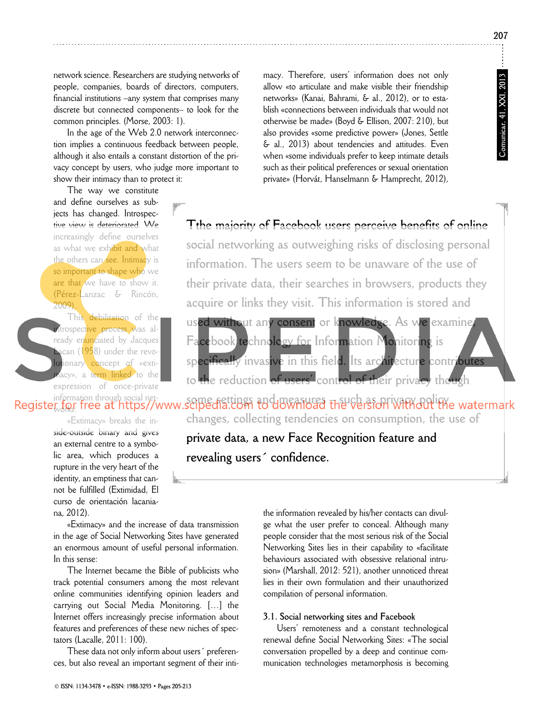**Comunicar, 41, XXI, 2013**

Comunicar, 41, XXI, 2013

network science. Researchers are studying networks of people, companies, boards of directors, computers, financial institutions –any system that comprises many discrete but connected components– to look for the common principles. (Morse, 2003: 1).

In the age of the Web 2.0 network interconnection implies a continuous feedback between people, although it also entails a constant distortion of the privacy concept by users, who judge more important to show their intimacy than to protect it:

The way we constitute and define ourselves as subjects has changed. Introspective view is deteriorated. We increasingly define ourselves as what we exhibit and what the others can see. Intimacy is so important to shape who we are that we have to show it. (Pérez-Lanzac & Rincón, 2009).

This debilitation of the ntrospective process was already enunciated by Jacques  $\Delta$ acan (1958) under the revolutionary concept of «extimacy», a term linked to the expression of once-private

information through social networks:

«Extimacy» breaks the in-

side-outside binary and gives an external centre to a symbolic area, which produces a rupture in the very heart of the identity, an emptiness that cannot be fulfilled (Extimidad, El curso de orientación lacaniana, 2012).

«Extimacy» and the increase of data transmission in the age of Social Networking Sites have generated an enormous amount of useful personal information. In this sense:

The Internet became the Bible of publicists who track potential consumers among the most relevant online communities identifying opinion leaders and carrying out Social Media Monitoring. […] the Internet offers increasingly precise information about features and preferences of these new niches of spectators (Lacalle, 2011: 100).

These data not only inform about users´ preferences, but also reveal an important segment of their intimacy. Therefore, users' information does not only allow «to articulate and make visible their friendship networks» (Kanai, Bahrami, & al., 2012), or to establish «connections between individuals that would not otherwise be made» (Boyd & Ellison, 2007: 210), but also provides «some predictive power» (Jones, Settle & al., 2013) about tendencies and attitudes. Even when «some individuals prefer to keep intimate details such as their political preferences or sexual orientation private» (Horvát, Hanselmann & Hamprecht, 2012),



**some settings and measures – such as privacy policy changes, collecting tendencies on consumption, the use of**

> **private data, a new Face Recognition feature and revealing users´ confidence.**

> > the information revealed by his/her contacts can divulge what the user prefer to conceal. Although many people consider that the most serious risk of the Social Networking Sites lies in their capability to «facilitate behaviours associated with obsessive relational intrusion» (Marshall, 2012: 521), another unnoticed threat lies in their own formulation and their unauthorized compilation of personal information.

#### **3.1. Social networking sites and Facebook**

Users' remoteness and a constant technological renewal define Social Networking Sites: «The social conversation propelled by a deep and continue communication technologies metamorphosis is becoming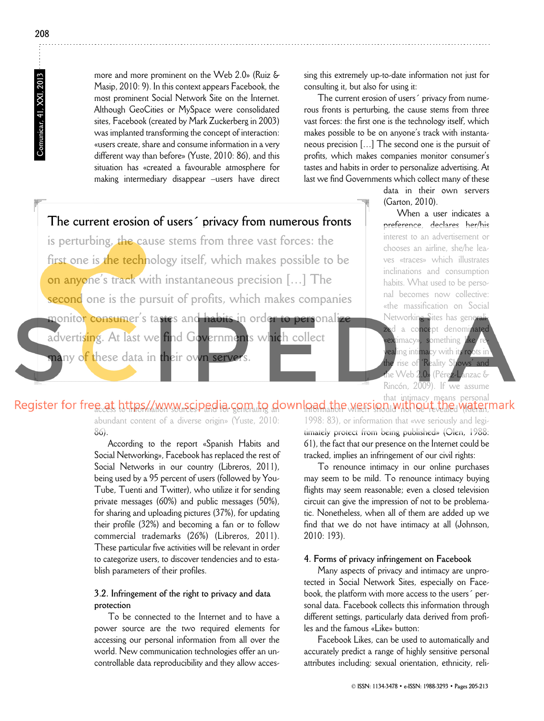more and more prominent on the Web 2.0» (Ruiz & Masip, 2010: 9). In this context appears Facebook, the most prominent Social Network Site on the Internet. Although GeoCities or MySpace were consolidated sites, Facebook (created by Mark Zuckerberg in 2003) was implanted transforming the concept of interaction: «users create, share and consume information in a very different way than before» (Yuste, 2010: 86), and this situation has «created a favourable atmosphere for making intermediary disappear –users have direct sing this extremely up-to-date information not just for consulting it, but also for using it:

The current erosion of users´ privacy from numerous fronts is perturbing, the cause stems from three vast forces: the first one is the technology itself, which makes possible to be on anyone's track with instantaneous precision […] The second one is the pursuit of profits, which makes companies monitor consumer's tastes and habits in order to personalize advertising. At last we find Governments which collect many of these

> data in their own servers (Garton, 2010).

### **The current erosion of users´ privacy from numerous fronts**

**is perturbing, the cause stems from three vast forces: the first one is the technology itself, which makes possible to be on anyone's track with instantaneous precision […] The second one is the pursuit of profits, which makes companies monitor consumer's tastes and habits in order to personalize** advertising. At last we find Governments which collect **many of these data in their own servers.**

When a user indicates a preference, declares her/his interest to an advertisement or chooses an airline, she/he leaves «traces» which illustrates inclinations and consumption habits. What used to be personal becomes now collective: «the massification on Social Networking Sites has generalized a concept denominated «extimacy», something like re vealing intimacy with its roots in rise of 'Reality Shows' and the Web 2.0» (Pérez-Lanzac &

Rincón, 2009). If we assume

#### access to information sources– and for generating an information which should not be revealed (Kieran, that intimacy means personal

abundant content of a diverse origin» (Yuste, 2010: 86).

According to the report «Spanish Habits and Social Networking», Facebook has replaced the rest of Social Networks in our country (Libreros, 2011), being used by a 95 percent of users (followed by You-Tube, Tuenti and Twitter), who utilize it for sending private messages (60%) and public messages (50%), for sharing and uploading pictures (37%), for updating their profile (32%) and becoming a fan or to follow commercial trademarks (26%) (Libreros, 2011). These particular five activities will be relevant in order to categorize users, to discover tendencies and to establish parameters of their profiles.

#### **3.2. Infringement of the right to privacy and data protection**

To be connected to the Internet and to have a power source are the two required elements for accessing our personal information from all over the world. New communication technologies offer an uncontrollable data reproducibility and they allow acces-

1998: 83), or information that «we seriously and legitimately protect from being published» (Olen, 1988: 61), the fact that our presence on the Internet could be tracked, implies an infringement of our civil rights:

To renounce intimacy in our online purchases may seem to be mild. To renounce intimacy buying flights may seem reasonable; even a closed television circuit can give the impression of not to be problematic. Nonetheless, when all of them are added up we find that we do not have intimacy at all (Johnson, 2010: 193).

#### **4. Forms of privacy infringement on Facebook**

Many aspects of privacy and intimacy are unprotected in Social Network Sites, especially on Facebook, the platform with more access to the users´ personal data. Facebook collects this information through different settings, particularly data derived from profiles and the famous «Like» button:

Facebook Likes, can be used to automatically and accurately predict a range of highly sensitive personal attributes including: sexual orientation, ethnicity, reli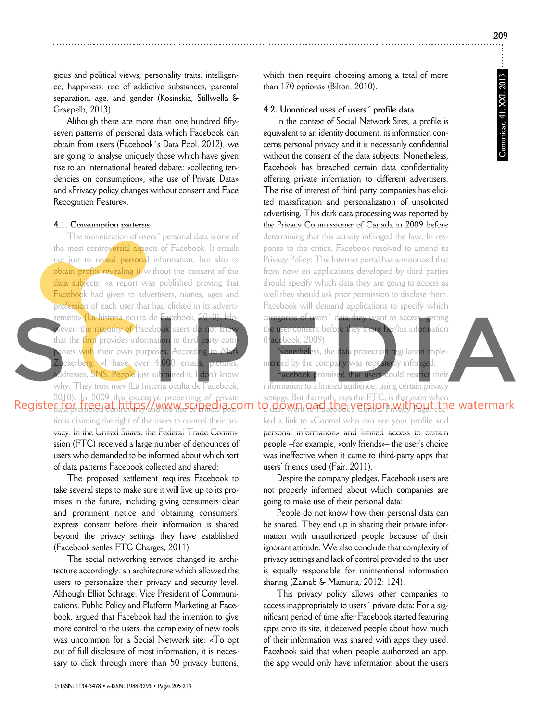gious and political views, personality traits, intelligence, happiness, use of addictive substances, parental separation, age, and gender (Kosinskia, Stillwella & Graepelb, 2013).

Although there are more than one hundred fiftyseven patterns of personal data which Facebook can obtain from users (Facebook´s Data Pool, 2012), we are going to analyse uniquely those which have given rise to an international heated debate: «collecting tendencies on consumption», «the use of Private Data» and «Privacy policy changes without consent and Face Recognition Feature».

#### **4.1. Consumption patterns**

The monetization of users´ personal data is one of the most controversial aspects of Facebook. It entails not just to reveal personal information, but also to obtain profits revealing it without the consent of the data subjects: «a report was published proving that Facebook had given to advertisers, names, ages and profession of each user that had clicked in its advertisement» (La historia oculta de Facebook, 2010). Ho wever, the majority of Facebook users do not know that the *firm* provides information to third party companies with their own purposes. According to Ma Zuckerberg: «I have over 4,000 emails, pictures, addresses, SNS. People just submitted it. I don't know why. They trust me» (La historia oculta de Facebook,

#### 2010). In 2009 this excessive processing of private Register for free at https//www.scipedia.com

tions claiming the right of the users to control their privacy. In the United States, the Federal Trade Commission (FTC) received a large number of denounces of users who demanded to be informed about which sort of data patterns Facebook collected and shared:

The proposed settlement requires Facebook to take several steps to make sure it will live up to its promises in the future, including giving consumers clear and prominent notice and obtaining consumers' express consent before their information is shared beyond the privacy settings they have established (Facebook settles FTC Charges, 2011).

The social networking service changed its architecture accordingly, an architecture which allowed the users to personalize their privacy and security level. Although Elliot Schrage, Vice President of Communications, Public Policy and Platform Marketing at Face book, argued that Facebook had the intention to give more control to the users, the complexity of new tools was uncommon for a Social Network site: «To opt out of full disclosure of most information, it is necessary to click through more than 50 privacy buttons, which then require choosing among a total of more than 170 options» (Bilton, 2010).

#### **4.2. Unnoticed uses of users´ profile data**

In the context of Social Network Sites, a profile is equivalent to an identity document, its information concerns personal privacy and it is necessarily confidential without the consent of the data subjects. Nonetheless, Facebook has breached certain data confidentiality offering private information to different advertisers. The rise of interest of third party companies has elicited massification and personalization of unsolicited advertising. This dark data processing was reported by the Privacy Commissioner of Canada in 2009 before determining that this activity infringed the law. In response to the critics, Facebook resolved to amend its Privacy Policy: The Internet portal has announced that from now on applications developed by third parties should specify which data they are going to access as well they should ask prior permission to disclose them. Facebook will demand applications to specify which

categories of users´ data they want to access, getting the user consent before they share her/his information (Facebook, 2009).

Nonetheless, the data protection regulation implemented by the company was repeatedly infringed: Facebook promised that users could restrict their

information to a limited audience, using certain privacy settings. But the truth, says the FTC, is that even when

## to download the yetsion without the watermark

ked a link to «Control who can see your profile and personal information» and limited access to certain people –for example, «only friends»– the user's choice was ineffective when it came to third-party apps that users' friends used (Fair. 2011).

Despite the company pledges, Facebook users are not properly informed about which companies are going to make use of their personal data:

People do not know how their personal data can be shared. They end up in sharing their private information with unauthorized people because of their ignorant attitude. We also conclude that complexity of privacy settings and lack of control provided to the user is equally responsible for unintentional information sharing (Zainab & Mamuna, 2012: 124).

This privacy policy allows other companies to access inappropriately to users´ private data: For a significant period of time after Facebook started featuring apps onto its site, it deceived people about how much of their information was shared with apps they used. Facebook said that when people authorized an app, the app would only have information about the users

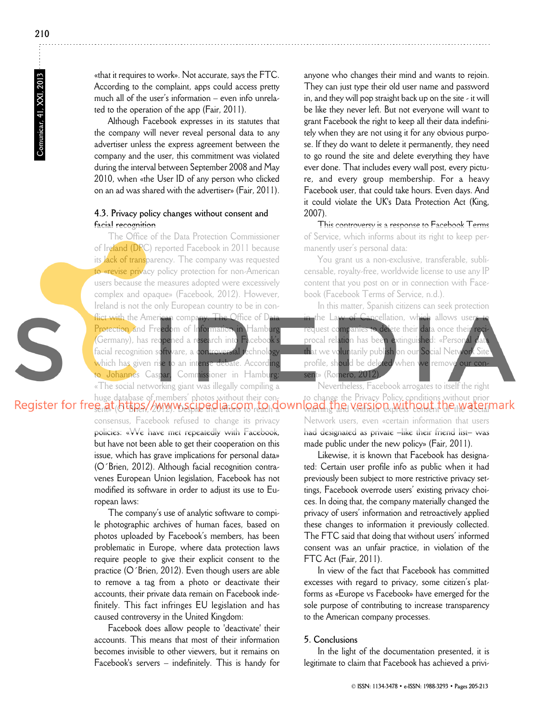«that it requires to work». Not accurate, says the FTC. According to the complaint, apps could access pretty much all of the user's information – even info unrelated to the operation of the app (Fair, 2011).

Although Facebook expresses in its statutes that the company will never reveal personal data to any advertiser unless the express agreement between the company and the user, this commitment was violated during the interval between September 2008 and May 2010, when «the User ID of any person who clicked on an ad was shared with the advertiser» (Fair, 2011).

#### **4.3. Privacy policy changes without consent and facial recognition**

The Office of the Data Protection Commissioner of Ireland (DPC) reported Facebook in 2011 because its lack of transparency. The company was requested to «revise privacy policy protection for non-American users because the measures adopted were excessively complex and opaque» (Facebook, 2012). However, Ireland is not the only European country to be in conflict with the American company. The Office of Da Protection and Freedom of Information in Hamburg (Germany), has reopened a research into Facebook's facial recognition software, a controversial technology which has given rise to an intense debate. According to Johannes Caspar, Commissioner in Hamburg: «The social networking giant was illegally compiling a

anyone who changes their mind and wants to rejoin. They can just type their old user name and password in, and they will pop straight back up on the site - it will be like they never left. But not everyone will want to grant Facebook the right to keep all their data indefinitely when they are not using it for any obvious purpose. If they do want to delete it permanently, they need to go round the site and delete everything they have ever done. That includes every wall post, every picture, and every group membership. For a heavy Facebook user, that could take hours. Even days. And it could violate the UK's Data Protection Act (King, 2007).

This controversy is a response to Facebook Terms of Service, which informs about its right to keep permanently user's personal data:

You grant us a non-exclusive, transferable, sublicensable, royalty-free, worldwide license to use any IP content that you post on or in connection with Facebook (Facebook Terms of Service, n.d.).

In this matter, Spanish citizens can seek protection the Law of Cancellation, which allows users request companies to delete their data once their reciprocal relation has been extinguished: «Personal da that we voluntarily publish on our Social Network Site profile, should be deleted when we remove our consent» (Romero, 2012).

Nevertheless, Facebook arrogates to itself the right

#### huge database of members' photos without their consent» (O´Brien, 2012). Despite the efforts to reach a to change the Privacy Policy conditions without prior

consensus, Facebook refused to change its privacy policies: «We have met repeatedly with Facebook, but have not been able to get their cooperation on this issue, which has grave implications for personal data» (O´Brien, 2012). Although facial recognition contravenes European Union legislation, Facebook has not modified its software in order to adjust its use to European laws:

The company's use of analytic software to compile photographic archives of human faces, based on photos uploaded by Facebook's members, has been problematic in Europe, where data protection laws require people to give their explicit consent to the practice (O´Brien, 2012). Even though users are able to remove a tag from a photo or deactivate their accounts, their private data remain on Facebook indefinitely. This fact infringes EU legislation and has caused controversy in the United Kingdom:

Facebook does allow people to 'deactivate' their accounts. This means that most of their information becomes invisible to other viewers, but it remains on Facebook's servers – indefinitely. This is handy for

warning and without express consent of the Social Network users, even «certain information that users had designated as private –like their friend list– was made public under the new policy» (Fair, 2011).

Likewise, it is known that Facebook has designated: Certain user profile info as public when it had previously been subject to more restrictive privacy settings, Facebook overrode users' existing privacy choices. In doing that, the company materially changed the privacy of users' information and retroactively applied these changes to information it previously collected. The FTC said that doing that without users' informed consent was an unfair practice, in violation of the FTC Act (Fair, 2011).

In view of the fact that Facebook has committed excesses with regard to privacy, some citizen's platforms as «Europe vs Facebook» have emerged for the sole purpose of contributing to increase transparency to the American company processes.

#### **5. Conclusions**

In the light of the documentation presented, it is legitimate to claim that Facebook has achieved a privi-

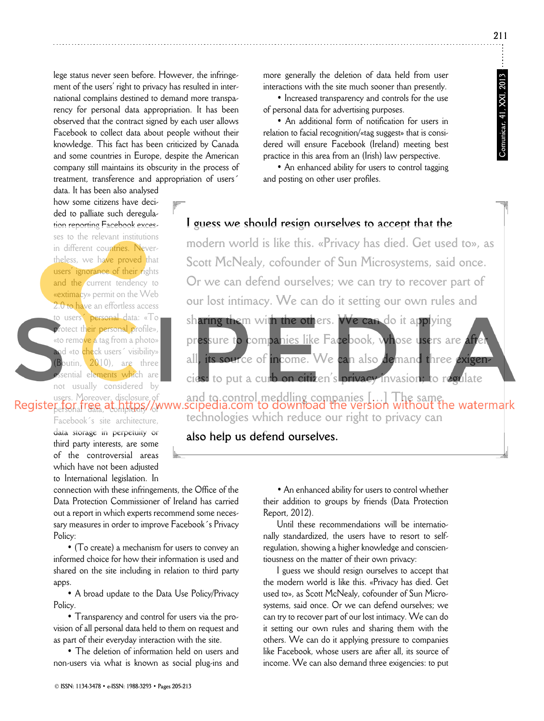**Comunicar, 41, XXI, 2013**

Comunicar, 41, XXI, 2013

lege status never seen before. However, the infringement of the users' right to privacy has resulted in international complains destined to demand more transparency for personal data appropriation. It has been observed that the contract signed by each user allows Facebook to collect data about people without their knowledge. This fact has been criticized by Canada and some countries in Europe, despite the American company still maintains its obscurity in the process of treatment, transference and appropriation of users´

data. It has been also analysed how some citizens have decided to palliate such deregulation reporting Facebook excesses to the relevant institutions in different countries. Nevertheless, we have proved that users' ignorance of their rights and the current tendency to «extimacy» permit on the Web 2.0 to have an effortless access to users´ personal data: «To protect their personal profile», «to remove a tag from a photo» and «to check users´ visibility» (Boutin, 2010), are three ssential elements which are not usually considered by

#### personal " Fata, <sup>co</sup>oniplexity *f*or

Facebook´s site architecture,

data storage in perpetuity or third party interests, are some of the controversial areas which have not been adjusted to International legislation. In

connection with these infringements, the Office of the Data Protection Commissioner of Ireland has carried out a report in which experts recommend some necessary measures in order to improve Facebook´s Privacy Policy:

• (To create) a mechanism for users to convey an informed choice for how their information is used and shared on the site including in relation to third party apps.

• A broad update to the Data Use Policy/Privacy Policy.

• Transparency and control for users via the provision of all personal data held to them on request and as part of their everyday interaction with the site.

• The deletion of information held on users and non-users via what is known as social plug-ins and more generally the deletion of data held from user interactions with the site much sooner than presently.

• Increased transparency and controls for the use of personal data for advertising purposes.

• An additional form of notification for users in relation to facial recognition/«tag suggest» that is considered will ensure Facebook (Ireland) meeting best practice in this area from an (Irish) law perspective.

• An enhanced ability for users to control tagging and posting on other user profiles.

## **I guess we should resign ourselves to accept that the modern world is like this. «Privacy has died. Get used to», as** Scott McNealy, cofounder of Sun Microsystems, said once. **Or we can defend ourselves; we can try to recover part of our lost intimacy. We can do it setting our own rules and sharing them with the others. We can do it applying**  pressure to companies like Facebook, whose users are **after all, its source of income. We can also demand three exigencies: to put a curb on citizen's privacy invasion; to regulate**

users. Moreover, disclosure, of **and to control meddling companies […] The same technologies which reduce our right to privacy can** 

### **also help us defend ourselves.**

• An enhanced ability for users to control whether their addition to groups by friends (Data Protection Report, 2012).

Until these recommendations will be internationally standardized, the users have to resort to selfregulation, showing a higher knowledge and conscientiousness on the matter of their own privacy:

I guess we should resign ourselves to accept that the modern world is like this. «Privacy has died. Get used to», as Scott McNealy, cofounder of Sun Microsystems, said once. Or we can defend ourselves; we can try to recover part of our lost intimacy. We can do it setting our own rules and sharing them with the others. We can do it applying pressure to companies like Facebook, whose users are after all, its source of income. We can also demand three exigencies: to put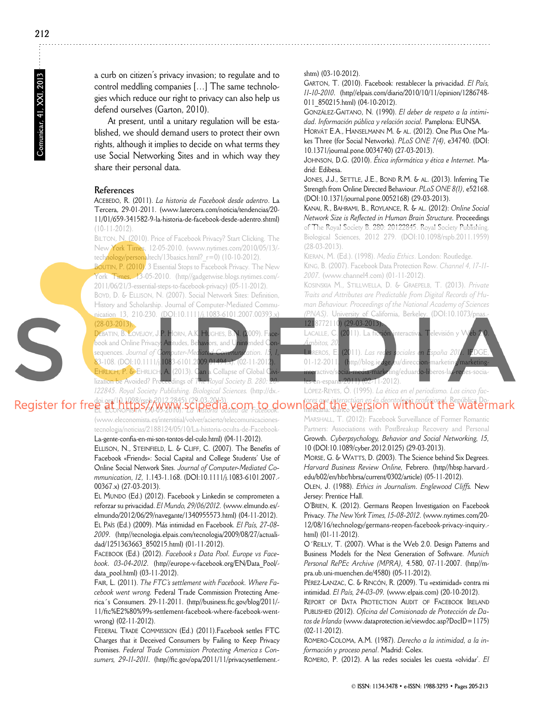**212**

a curb on citizen's privacy invasion; to regulate and to control meddling companies […] The same technologies which reduce our right to privacy can also help us defend ourselves (Garton, 2010).

At present, until a unitary regulation will be established, we should demand users to protect their own rights, although it implies to decide on what terms they use Social Networking Sites and in which way they share their personal data.

#### **References**

ACEBEDO, R. (2011). *La historia de Facebook desde adentro*. La Tercera, 29-01-2011. (www.latercera.com/noticia/tendencias/20-11/01/659-341582-9-la-historia-de-facebook-desde-adentro.shtml) (10-11-2012).

BILTON, N. (2010). Price of Facebook Privacy? Start Clicking. The New York Times, 12-05-2010. (www.nytimes.com/2010/05/13/technology/personaltech/13basics.html? r=0) (10-10-2012).

BOUTIN, P. (2010). 3 Essential Stops to Facebook Privacy. The New York Times, 13-05-2010. (http//gadgetwise.blogs.nytimes.com/- 2011/06/21/3-essential-steps-to-facebook-privacy) (05-11-2012). BOYD, D. & ELLISON, N. (2007). Social Network Sites: Definition,

History and Scholarship. Journal of Computer-Mediated Communication 13, 210-230. (DOI:10.1111/j.1083-6101.2007.00393.x)

(28-03-2013).

DEBATIN, B. LOVEJOY, J.P. HORN, A.K. HUGHES, B.N. (2009). Fa book and Online Privacy: Attitudes, Behaviors, and Unintended C sequences. *Journal of Computer-Mediated Communication.* 1 83-108. (DQI:10.1111/j.1083-6101.2009.01494.x). (02-11-2012 ICH, P. & EHRLICH, A. (2013). Can a Collapse of Global ( lization be Avoided? Proceedings of *The Royal Society B. 280:* 

*122845*. *Royal Society Publishing. Biological Sciences.* (http:// dx. -

shtm) (03-10-2012).

GARTON, T. (2010). Facebook: restablecer la privacidad. *El País, 11-10-2010.* (http//elpais.com/diario/2010/10/11/ opinion/12867 48 - 011 850215.html) (04-10-2012).

GONZÁLEZ-GAITANO, N. (1990). *El deber de respeto a la intimidad. Información pública y relación social.* Pamplona: EUNSA. HORVÁT E.A., HANSELMANN M. & AL. (2012). One Plus One Ma-

kes Three (for Social Networks). *PLoS ONE 7(4),* e34740. (DOI: 10.1371/journal.pone.0034740) (27-03-2013).

JOHNSON, D.G. (2010). Ética informática y ética e Internet. Madrid: Edibesa.

JONES, J.J., SETTLE, J.E., BOND R.M. & AL. (2013). Inferring Tie Strength from Online Directed Behaviour. *PLoS ONE 8(1),* e52168. (DOI:10.1371/journal.pone.0052168) (29-03-2013).

KANAI, R., BAHRAMI, B., ROYLANCE, R. & AL. (2012): *Online Social Network Size is Reflected in Human Brain Structure.* Proceedings of The Royal Society B. 280: 20122845. Royal Society Publishing. Biological Sciences, 2012 279. (DOI:10.1098/rspb.2011.1959)

(28-03-2013).

KIERAN, M. (Ed.). (1998). *Media Ethics*. London: Routledge. KING, B. (2007). Facebook Data Protection Row. *Channel 4, 17-11- 2007.* (www.channel4.com) (01-11-2012).

KOSINSKIA M., STILLWELLA, D. & GRAEPELB, T. (2013). *Private Traits and Attributes are Predictable from Digital Records of Hu man Behaviour. Proceedings of the National Academy of Sciences (PNAS)*. University of California, Berkeley. (DOI:10.1073/pnas.



LÓPEZ-REYES, Ó. (1995). *La ética en el periodismo. Los cinco fac-*

#### doi.org/10.1098/rspb.2012.2845) (29-03-2013). EL ECONOMISTA (30-05-2010). *La historia oculta de Facebook. tores que interactúan en la deontología profesional.* República Do minicana: Banco Central.

(www.eleconomista.es/interstitial/volver/acierto/telecomunicacionestecnologia/noticias/2188124/05/10/La-historia-oculta-de-Facebook-La-gente-confia-en-mi-son-tontos-del-culo.html) (04-11-2012).

ELLISON, N., STEINFIELD, L. & CLIFF, C. (2007). The Benefits of Fa cebook «Friends»: Social Capital and College Students' Use of Online Social Network Sites. Journal of Computer-Mediated Co*m mu nication, 12,* 1.143-1.168. (DOI:10.1111/j.1083-6101. 2007. - 00 367.x) (27-03-2013).

EL MUNDO (Ed.) (2012). Facebook y Linkedin se comprometen a reforzar su privacidad. El Mundo, 29/06/2012. (www.elmundo.es/elmundo/2012/06/29/navegante/1340955573.html) (04-11-2012). EL PAÍS (Ed.) (2009). Más intimidad en Facebook. *El País, 27-08- 2009.* (http//tecnologia.elpais.com/tecnologia/2009/08/27/actualidad/1251363663\_850215.html) (01-11-2012).

FACEBOOK (Ed.) (2012). *Facebooks Data Pool. Europe vs Face*  book. 03-04-2012. (http//europe-v-facebook.org/EN/Data\_Pool/data pool.html) (03-11-2012).

FAIR, L. (2011). *The FTC's settlement with Facebook. Where Fa ce book went wrong.* Federal Trade Commission Protecting Ame rica's Consumers. 29-11-2011. (http//business.ftc.gov/blog/2011/-11/ ftc%E2%80%99s-settlement-facebook-where-facebook-wentwrong) (02-11-2012).

FEDERAL TRADE COMMISSION (Ed.) (2011).Facebook settles FTC Charges that it Deceived Consumers by Failing to Keep Privacy Promises. *Federal Trade Commission Protecting Americas Con sumers, 29-11-2011.* (http//ftc.gov/opa/2011/11/privacysettlement. -

MARSHALL, T. (2012): Facebook Surveillance of Former Romantic Partners: Associations with PostBreakup Recovery and Personal Growth. *Cyberpsychology, Behavior and Social Networking, 15,* 10 (DOI:10.1089/cyber.2012.0125) (29-03-2013).

MORSE, G. & WATTS, D. (2003). The Science behind Six Degrees. *Harvard Business Review Online,* Febrero. (http//hbsp.harvard. edu/ b02/en/hbr/hbrsa/current/0302/article) (05-11-2012).

OLEN, J. (1988). *Ethics in Journalism. Englewood Cliffs.* New Jersey: Prentice Hall.

O'BRIEN, K. (2012). Germans Reopen Investigation on Facebook Privacy. The New York Times, 15-08-2012. (www.nytimes.com/20-12/08/16/technology/germans-reopen-facebook-privacy-inquiry.html) (01-11-2012).

O´REILLY, T. (2007). What is the Web 2.0. Design Patterns and Business Models for the Next Generation of Software. *Munich Personal RePEc Archive (MPRA), 4.580, 07-11-2007. (http//m*pra. ub.uni-muenchen.de/4580) (05-11-2012).

PÉREZ-LANZAC, C. & RINCÓN, R. (2009). Tu «extimidad» contra mi intimidad. *El País, 24-03-09.* (www.elpais.com) (20-10-2012).

REPORT OF DATA PROTECTION AUDIT OF FACEBOOK IRELAND PUBLISHED (2012). Oficina del Comisionado de Protección de Da*tos de Irlanda* (www.dataprotection.ie/viewdoc. asp?DocID= 1175) (02-11-2012).

ROMERO-COLOMA, A.M. (1987). *Derecho a la intimidad, a la in for mación y proceso penal*. Madrid: Colex.

ROMERO, P. (2012). A las redes sociales les cuesta «olvidar'. *El*